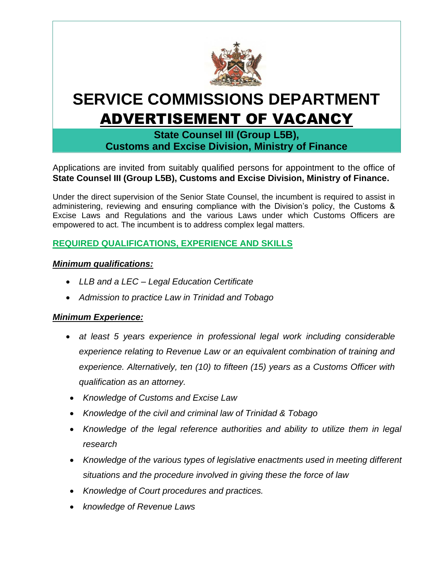

# **SERVICE COMMISSIONS DEPARTMENT** ADVERTISEMENT OF VACANCY

**State Counsel III (Group L5B), Customs and Excise Division, Ministry of Finance**

Applications are invited from suitably qualified persons for appointment to the office of **State Counsel III (Group L5B), Customs and Excise Division, Ministry of Finance.**

Under the direct supervision of the Senior State Counsel, the incumbent is required to assist in administering, reviewing and ensuring compliance with the Division's policy, the Customs & Excise Laws and Regulations and the various Laws under which Customs Officers are empowered to act. The incumbent is to address complex legal matters.

## **REQUIRED QUALIFICATIONS, EXPERIENCE AND SKILLS**

#### *Minimum qualifications:*

- *LLB and a LEC – Legal Education Certificate*
- *Admission to practice Law in Trinidad and Tobago*

## *Minimum Experience:*

- *at least 5 years experience in professional legal work including considerable experience relating to Revenue Law or an equivalent combination of training and experience. Alternatively, ten (10) to fifteen (15) years as a Customs Officer with qualification as an attorney.*
- *Knowledge of Customs and Excise Law*
- *Knowledge of the civil and criminal law of Trinidad & Tobago*
- *Knowledge of the legal reference authorities and ability to utilize them in legal research*
- *Knowledge of the various types of legislative enactments used in meeting different situations and the procedure involved in giving these the force of law*
- *Knowledge of Court procedures and practices.*
- *knowledge of Revenue Laws*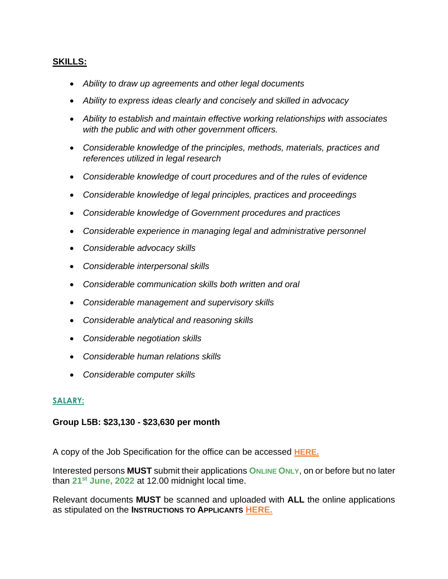## **SKILLS:**

- *Ability to draw up agreements and other legal documents*
- *Ability to express ideas clearly and concisely and skilled in advocacy*
- *Ability to establish and maintain effective working relationships with associates with the public and with other government officers.*
- *Considerable knowledge of the principles, methods, materials, practices and references utilized in legal research*
- *Considerable knowledge of court procedures and of the rules of evidence*
- *Considerable knowledge of legal principles, practices and proceedings*
- *Considerable knowledge of Government procedures and practices*
- *Considerable experience in managing legal and administrative personnel*
- *Considerable advocacy skills*
- *Considerable interpersonal skills*
- *Considerable communication skills both written and oral*
- *Considerable management and supervisory skills*
- *Considerable analytical and reasoning skills*
- *Considerable negotiation skills*
- *Considerable human relations skills*
- *Considerable computer skills*

#### **SALARY:**

#### **Group L5B: \$23,130 - \$23,630 per month**

A copy of the Job Specification for the office can be accessed **[HERE](https://drive.google.com/file/d/1QgLUoTTYPP-PNK4G1tAAwPLarAWdMr3L/view?usp=sharing).**

Interested persons **MUST** submit their applications **ONLINE ONLY**, on or before but no later than **21st June, 2022** at 12.00 midnight local time.

Relevant documents **MUST** be scanned and uploaded with **ALL** the online applications as stipulated on the **INSTRUCTIONS TO APPLICANTS [HERE.](https://drive.google.com/file/d/1JQyieIVBoAtekZTuLp_WsaO_jvd7CgbD/view?usp=sharing)**